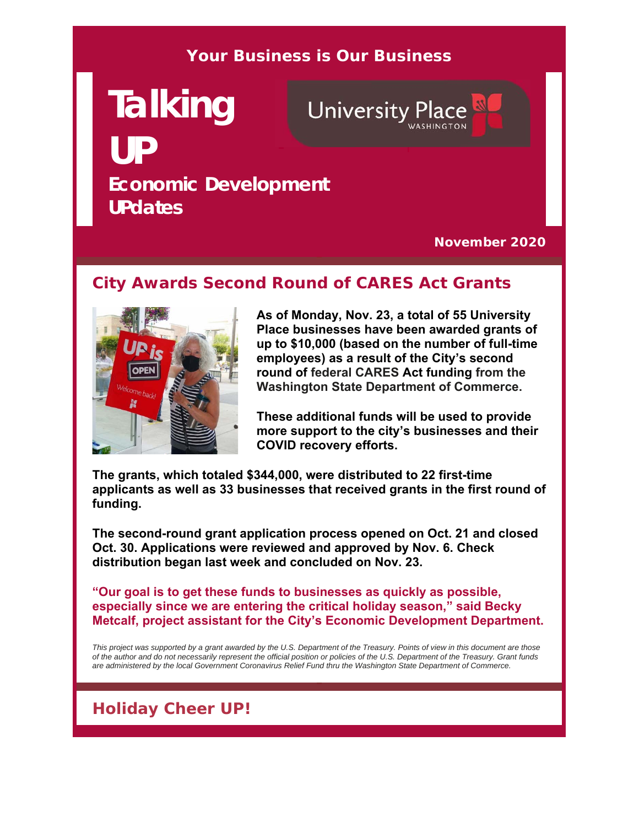#### **Your Business is Our Business**

# **Talking UP Economic Development UPdates**

**University Place** 

**November 2020**

#### **City Awards Second Round of CARES Act Grants**



**As of Monday, Nov. 23, a total of 55 University Place businesses have been awarded grants of up to \$10,000 (based on the number of full-time employees) as a result of the City's second round of federal CARES Act funding from the Washington State Department of Commerce.** 

**These additional funds will be used to provide more support to the city's businesses and their COVID recovery efforts.**

**The grants, which totaled \$344,000, were distributed to 22 first-time applicants as well as 33 businesses that received grants in the first round of funding.** 

**The second-round grant application process opened on Oct. 21 and closed Oct. 30. Applications were reviewed and approved by Nov. 6. Check distribution began last week and concluded on Nov. 23.**

**"Our goal is to get these funds to businesses as quickly as possible, especially since we are entering the critical holiday season," said Becky Metcalf, project assistant for the City's Economic Development Department.**

*This project was supported by a grant awarded by the U.S. Department of the Treasury. Points of view in this document are those of the author and do not necessarily represent the official position or policies of the U.S. Department of the Treasury. Grant funds are administered by the local Government Coronavirus Relief Fund thru the Washington State Department of Commerce.*

### **Holiday Cheer UP!**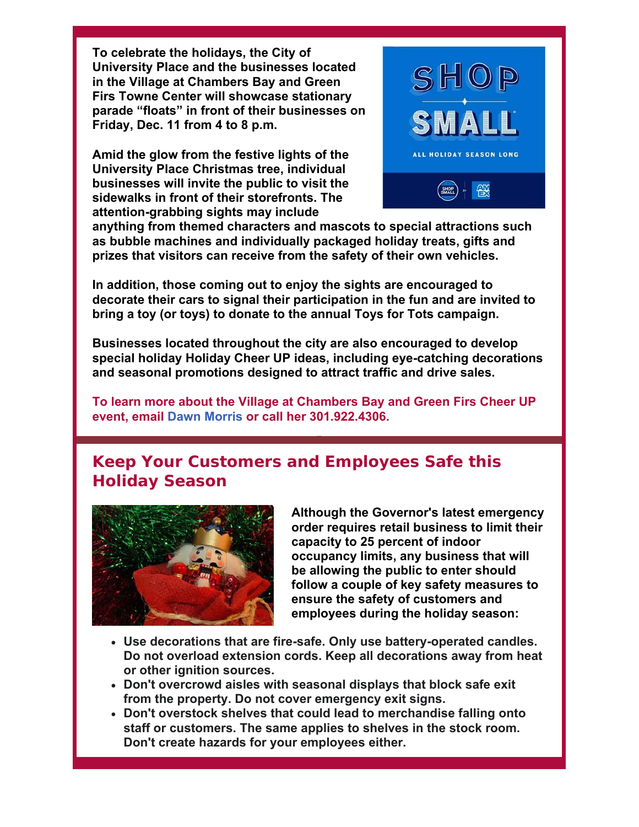**To celebrate the holidays, the City of University Place and the businesses located in the Village at Chambers Bay and Green Firs Towne Center will showcase stationary parade "floats" in front of their businesses on Friday, Dec. 11 from 4 to 8 p.m.** 

**Amid the glow from the festive lights of the University Place Christmas tree, individual businesses will invite the public to visit the sidewalks in front of their storefronts. The attention-grabbing sights may include** 



**anything from themed characters and mascots to special attractions such as bubble machines and individually packaged holiday treats, gifts and prizes that visitors can receive from the safety of their own vehicles.** 

**In addition, those coming out to enjoy the sights are encouraged to decorate their cars to signal their participation in the fun and are invited to bring a toy (or toys) to donate to the annual Toys for Tots campaign.** 

**Businesses located throughout the city are also encouraged to develop special holiday Holiday Cheer UP ideas, including eye-catching decorations and seasonal promotions designed to attract traffic and drive sales.** 

**To learn more about the Village at Chambers Bay and Green Firs Cheer UP event, email Dawn Morris or call her 301.922.4306.** 

#### **Keep Your Customers and Employees Safe this Holiday Season**



**Although the Governor's latest emergency order requires retail business to limit their capacity to 25 percent of indoor occupancy limits, any business that will be allowing the public to enter should follow a couple of key safety measures to ensure the safety of customers and employees during the holiday season:**

- **Use decorations that are fire-safe. Only use battery-operated candles. Do not overload extension cords. Keep all decorations away from heat or other ignition sources.**
- **Don't overcrowd aisles with seasonal displays that block safe exit from the property. Do not cover emergency exit signs.**
- **Don't overstock shelves that could lead to merchandise falling onto staff or customers. The same applies to shelves in the stock room. Don't create hazards for your employees either.**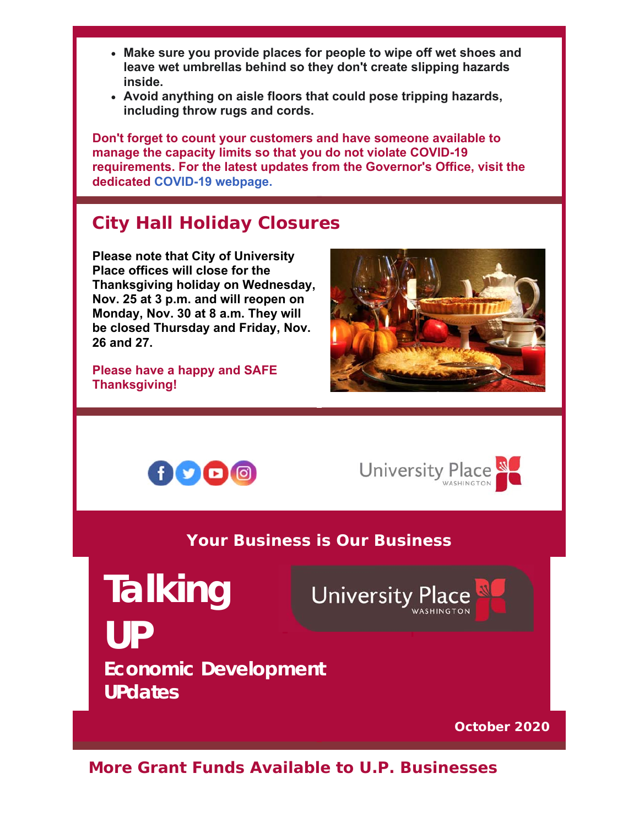- **Make sure you provide places for people to wipe off wet shoes and leave wet umbrellas behind so they don't create slipping hazards inside.**
- **Avoid anything on aisle floors that could pose tripping hazards, including throw rugs and cords.**

**Don't forget to count your customers and have someone available to manage the capacity limits so that you do not violate COVID-19 requirements. For the latest updates from the Governor's Office, visit the dedicated COVID-19 webpage.**

## **City Hall Holiday Closures**

**Please note that City of University Place offices will close for the Thanksgiving holiday on Wednesday, Nov. 25 at 3 p.m. and will reopen on Monday, Nov. 30 at 8 a.m. They will be closed Thursday and Friday, Nov. 26 and 27.** 

**Please have a happy and SAFE Thanksgiving!**







**Your Business is Our Business**

**Talking** 

**UP**

**University Place** 

**Economic Development UPdates**

**October 2020**

**More Grant Funds Available to U.P. Businesses**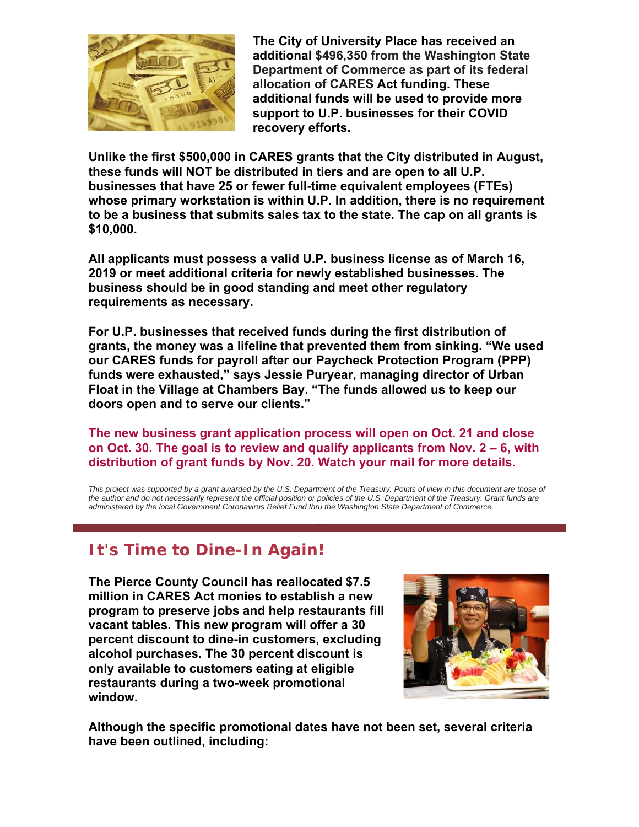

**The City of University Place has received an additional \$496,350 from the Washington State Department of Commerce as part of its federal allocation of CARES Act funding. These additional funds will be used to provide more support to U.P. businesses for their COVID recovery efforts.**

**Unlike the first \$500,000 in CARES grants that the City distributed in August, these funds will NOT be distributed in tiers and are open to all U.P. businesses that have 25 or fewer full-time equivalent employees (FTEs) whose primary workstation is within U.P. In addition, there is no requirement to be a business that submits sales tax to the state. The cap on all grants is \$10,000.** 

**All applicants must possess a valid U.P. business license as of March 16, 2019 or meet additional criteria for newly established businesses. The business should be in good standing and meet other regulatory requirements as necessary.** 

**For U.P. businesses that received funds during the first distribution of grants, the money was a lifeline that prevented them from sinking. "We used our CARES funds for payroll after our Paycheck Protection Program (PPP) funds were exhausted," says Jessie Puryear, managing director of Urban Float in the Village at Chambers Bay. "The funds allowed us to keep our doors open and to serve our clients."**

**The new business grant application process will open on Oct. 21 and close on Oct. 30. The goal is to review and qualify applicants from Nov. 2 – 6, with distribution of grant funds by Nov. 20. Watch your mail for more details.**

This project was supported by a grant awarded by the U.S. Department of the Treasury. Points of view in this document are those of *the author and do not necessarily represent the official position or policies of the U.S. Department of the Treasury. Grant funds are administered by the local Government Coronavirus Relief Fund thru the Washington State Department of Commerce.*

#### **It's Time to Dine-In Again!**

**The Pierce County Council has reallocated \$7.5 million in CARES Act monies to establish a new program to preserve jobs and help restaurants fill vacant tables. This new program will offer a 30 percent discount to dine-in customers, excluding alcohol purchases. The 30 percent discount is only available to customers eating at eligible restaurants during a two-week promotional window.** 



**Although the specific promotional dates have not been set, several criteria have been outlined, including:**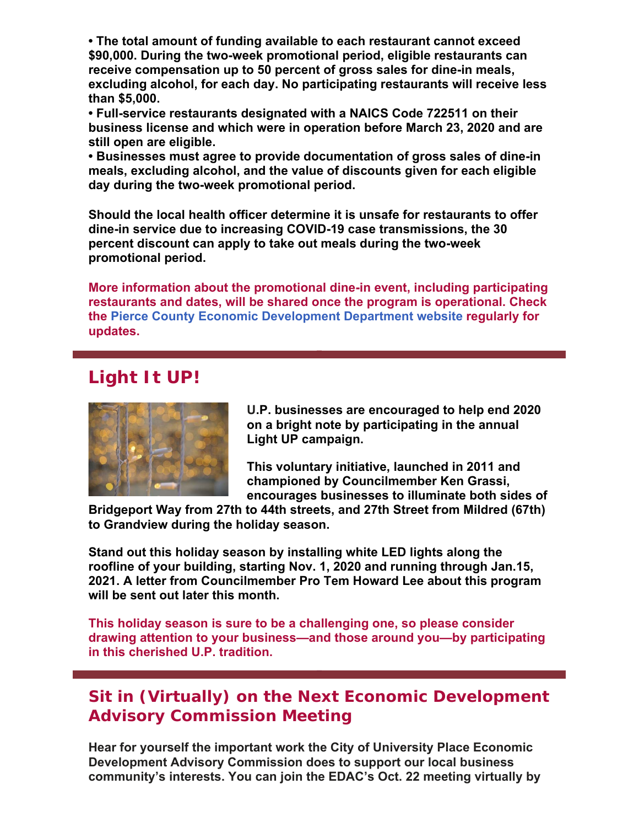**• The total amount of funding available to each restaurant cannot exceed \$90,000. During the two-week promotional period, eligible restaurants can receive compensation up to 50 percent of gross sales for dine-in meals, excluding alcohol, for each day. No participating restaurants will receive less than \$5,000.**

**• Full-service restaurants designated with a NAICS Code 722511 on their business license and which were in operation before March 23, 2020 and are still open are eligible.**

**• Businesses must agree to provide documentation of gross sales of dine-in meals, excluding alcohol, and the value of discounts given for each eligible day during the two-week promotional period.**

**Should the local health officer determine it is unsafe for restaurants to offer dine-in service due to increasing COVID-19 case transmissions, the 30 percent discount can apply to take out meals during the two-week promotional period.** 

**More information about the promotional dine-in event, including participating restaurants and dates, will be shared once the program is operational. Check the Pierce County Economic Development Department website regularly for updates.**

#### **Light It UP!**



**U.P. businesses are encouraged to help end 2020 on a bright note by participating in the annual Light UP campaign.**

**This voluntary initiative, launched in 2011 and championed by Councilmember Ken Grassi, encourages businesses to illuminate both sides of** 

**Bridgeport Way from 27th to 44th streets, and 27th Street from Mildred (67th) to Grandview during the holiday season.** 

**Stand out this holiday season by installing white LED lights along the roofline of your building, starting Nov. 1, 2020 and running through Jan.15, 2021. A letter from Councilmember Pro Tem Howard Lee about this program will be sent out later this month.**

**This holiday season is sure to be a challenging one, so please consider drawing attention to your business—and those around you—by participating in this cherished U.P. tradition.** 

#### **Sit in (Virtually) on the Next Economic Development Advisory Commission Meeting**

**Hear for yourself the important work the City of University Place Economic Development Advisory Commission does to support our local business community's interests. You can join the EDAC's Oct. 22 meeting virtually by**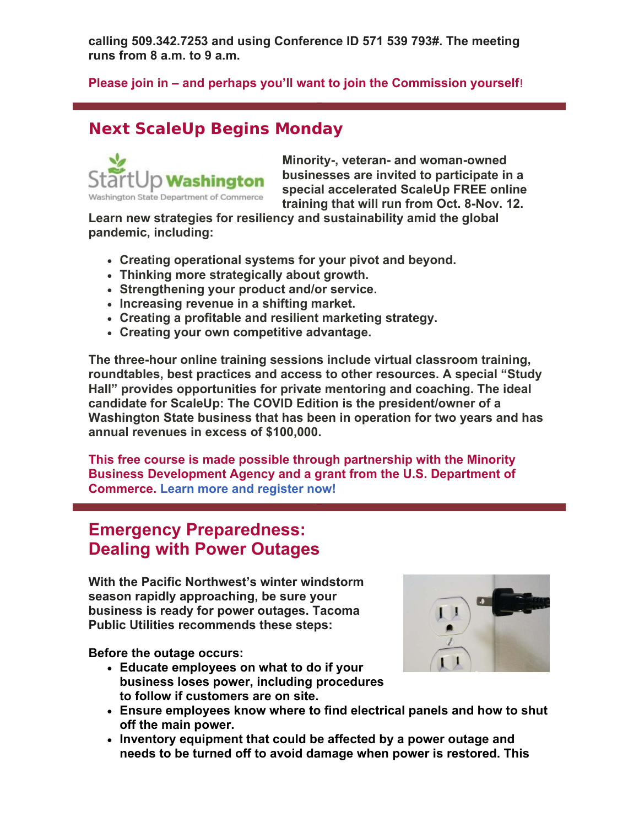**calling 509.342.7253 and using Conference ID 571 539 793#. The meeting runs from 8 a.m. to 9 a.m.**

#### **Please join in – and perhaps you'll want to join the Commission yourself**!

#### **Next ScaleUp Begins Monday**



**Minority-, veteran- and woman-owned businesses are invited to participate in a special accelerated ScaleUp FREE online training that will run from Oct. 8-Nov. 12.** 

**Learn new strategies for resiliency and sustainability amid the global pandemic, including:** 

- **Creating operational systems for your pivot and beyond.**
- **Thinking more strategically about growth.**
- **Strengthening your product and/or service.**
- **Increasing revenue in a shifting market.**
- **Creating a profitable and resilient marketing strategy.**
- **Creating your own competitive advantage.**

**The three-hour online training sessions include virtual classroom training, roundtables, best practices and access to other resources. A special "Study Hall" provides opportunities for private mentoring and coaching. The ideal candidate for ScaleUp: The COVID Edition is the president/owner of a Washington State business that has been in operation for two years and has annual revenues in excess of \$100,000.**

**This free course is made possible through partnership with the Minority Business Development Agency and a grant from the U.S. Department of Commerce. Learn more and register now!**

#### **Emergency Preparedness: Dealing with Power Outages**

**With the Pacific Northwest's winter windstorm season rapidly approaching, be sure your business is ready for power outages. Tacoma Public Utilities recommends these steps:**

**Before the outage occurs:** 

- **Educate employees on what to do if your business loses power, including procedures to follow if customers are on site.**
- 
- **Ensure employees know where to find electrical panels and how to shut off the main power.**
- **Inventory equipment that could be affected by a power outage and needs to be turned off to avoid damage when power is restored. This**